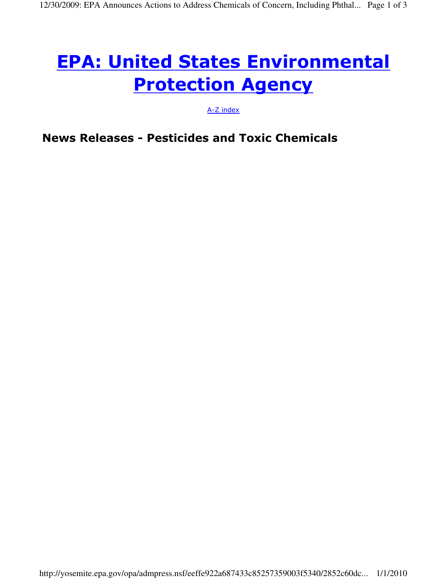## EPA: United States Environmental **Protection Agency**

A-Z index

News Releases - Pesticides and Toxic Chemicals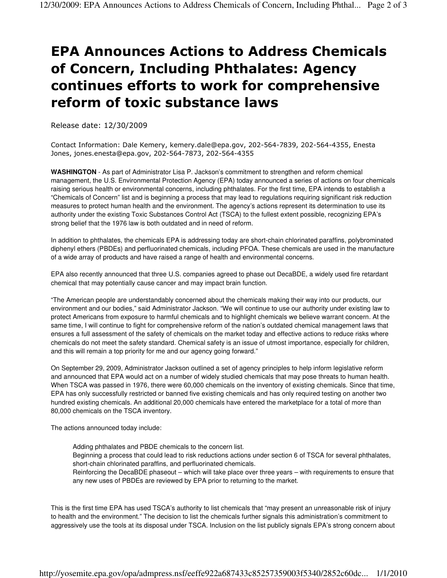## EPA Announces Actions to Address Chemicals of Concern, Including Phthalates: Agency continues efforts to work for comprehensive reform of toxic substance laws

Release date: 12/30/2009

Contact Information: Dale Kemery, kemery.dale@epa.gov, 202-564-7839, 202-564-4355, Enesta Jones, jones.enesta@epa.gov, 202-564-7873, 202-564-4355

**WASHINGTON** - As part of Administrator Lisa P. Jackson's commitment to strengthen and reform chemical management, the U.S. Environmental Protection Agency (EPA) today announced a series of actions on four chemicals raising serious health or environmental concerns, including phthalates. For the first time, EPA intends to establish a "Chemicals of Concern" list and is beginning a process that may lead to regulations requiring significant risk reduction measures to protect human health and the environment. The agency's actions represent its determination to use its authority under the existing Toxic Substances Control Act (TSCA) to the fullest extent possible, recognizing EPA's strong belief that the 1976 law is both outdated and in need of reform.

In addition to phthalates, the chemicals EPA is addressing today are short-chain chlorinated paraffins, polybrominated diphenyl ethers (PBDEs) and perfluorinated chemicals, including PFOA. These chemicals are used in the manufacture of a wide array of products and have raised a range of health and environmental concerns.

EPA also recently announced that three U.S. companies agreed to phase out DecaBDE, a widely used fire retardant chemical that may potentially cause cancer and may impact brain function.

"The American people are understandably concerned about the chemicals making their way into our products, our environment and our bodies," said Administrator Jackson. "We will continue to use our authority under existing law to protect Americans from exposure to harmful chemicals and to highlight chemicals we believe warrant concern. At the same time, I will continue to fight for comprehensive reform of the nation's outdated chemical management laws that ensures a full assessment of the safety of chemicals on the market today and effective actions to reduce risks where chemicals do not meet the safety standard. Chemical safety is an issue of utmost importance, especially for children, and this will remain a top priority for me and our agency going forward."

On September 29, 2009, Administrator Jackson outlined a set of agency principles to help inform legislative reform and announced that EPA would act on a number of widely studied chemicals that may pose threats to human health. When TSCA was passed in 1976, there were 60,000 chemicals on the inventory of existing chemicals. Since that time, EPA has only successfully restricted or banned five existing chemicals and has only required testing on another two hundred existing chemicals. An additional 20,000 chemicals have entered the marketplace for a total of more than 80,000 chemicals on the TSCA inventory.

The actions announced today include:

Adding phthalates and PBDE chemicals to the concern list. Beginning a process that could lead to risk reductions actions under section 6 of TSCA for several phthalates, short-chain chlorinated paraffins, and perfluorinated chemicals. Reinforcing the DecaBDE phaseout – which will take place over three years – with requirements to ensure that any new uses of PBDEs are reviewed by EPA prior to returning to the market.

This is the first time EPA has used TSCA's authority to list chemicals that "may present an unreasonable risk of injury to health and the environment." The decision to list the chemicals further signals this administration's commitment to aggressively use the tools at its disposal under TSCA. Inclusion on the list publicly signals EPA's strong concern about